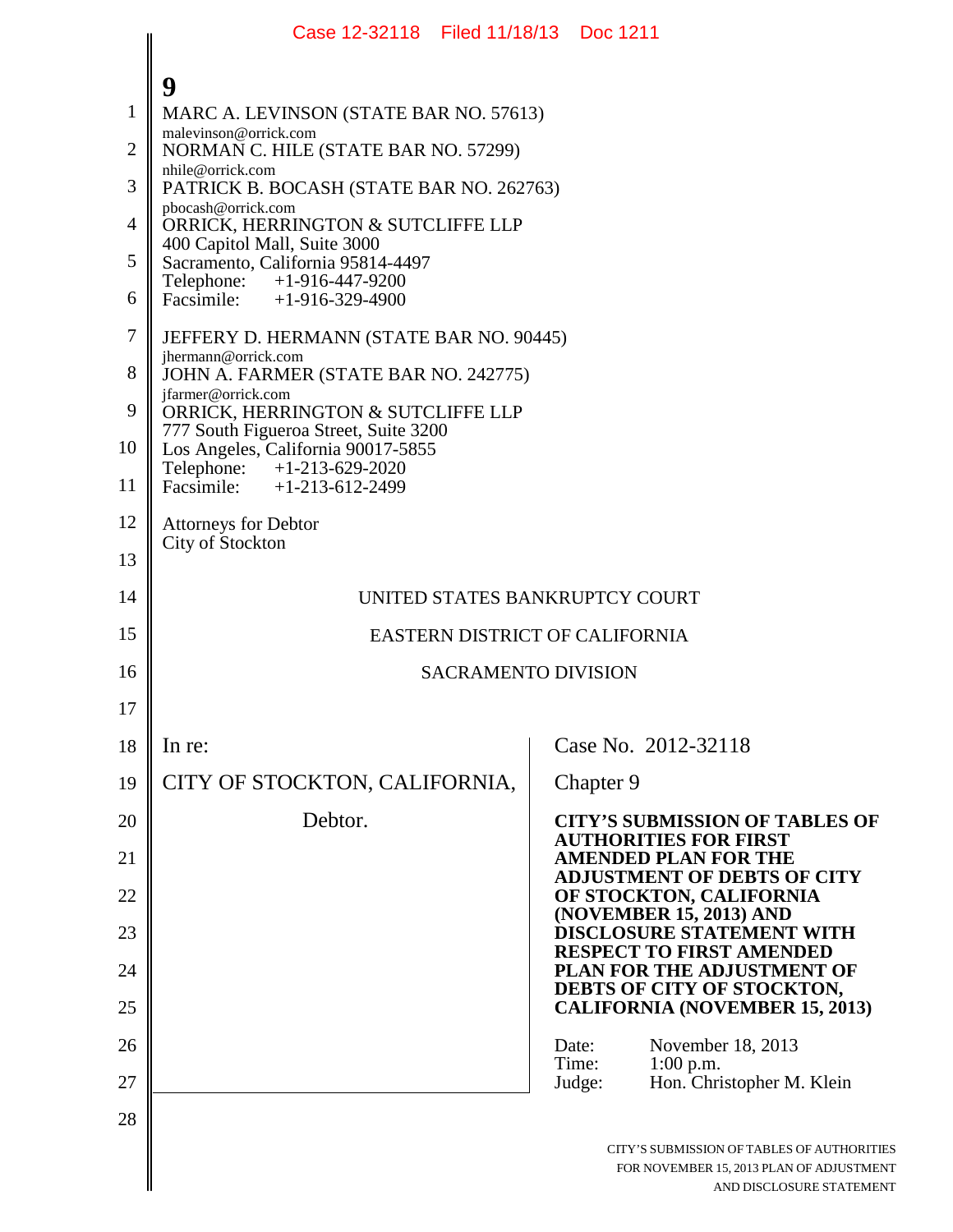|                | Case 12-32118 Filed 11/18/13 Doc 1211                                       |                                                                                                                    |
|----------------|-----------------------------------------------------------------------------|--------------------------------------------------------------------------------------------------------------------|
|                | 9                                                                           |                                                                                                                    |
| $\mathbf{1}$   | MARC A. LEVINSON (STATE BAR NO. 57613)                                      |                                                                                                                    |
| $\overline{2}$ | malevinson@orrick.com<br>NORMAN C. HILE (STATE BAR NO. 57299)               |                                                                                                                    |
| 3              | nhile@orrick.com<br>PATRICK B. BOCASH (STATE BAR NO. 262763)                |                                                                                                                    |
| $\overline{4}$ | pbocash@orrick.com<br>ORRICK, HERRINGTON & SUTCLIFFE LLP                    |                                                                                                                    |
| 5              | 400 Capitol Mall, Suite 3000<br>Sacramento, California 95814-4497           |                                                                                                                    |
| 6              | Telephone: +1-916-447-9200<br>Facsimile: $+1-916-329-4900$                  |                                                                                                                    |
| $\overline{7}$ | JEFFERY D. HERMANN (STATE BAR NO. 90445)                                    |                                                                                                                    |
| 8              | jhermann@orrick.com<br>JOHN A. FARMER (STATE BAR NO. 242775)                |                                                                                                                    |
| 9              | jfarmer@orrick.com<br>ORRICK, HERRINGTON & SUTCLIFFE LLP                    |                                                                                                                    |
| 10             | 777 South Figueroa Street, Suite 3200<br>Los Angeles, California 90017-5855 |                                                                                                                    |
| 11             | Telephone: +1-213-629-2020<br>Facsimile: $+1-213-612-2499$                  |                                                                                                                    |
| 12             | <b>Attorneys for Debtor</b><br>City of Stockton                             |                                                                                                                    |
| 13             |                                                                             |                                                                                                                    |
| 14             |                                                                             | UNITED STATES BANKRUPTCY COURT                                                                                     |
| 15             | EASTERN DISTRICT OF CALIFORNIA                                              |                                                                                                                    |
| 16             | <b>SACRAMENTO DIVISION</b>                                                  |                                                                                                                    |
| 17             |                                                                             |                                                                                                                    |
| 18             | In re:                                                                      | Case No. 2012-32118                                                                                                |
| 19             | CITY OF STOCKTON, CALIFORNIA,                                               | Chapter 9                                                                                                          |
| 20             | Debtor.                                                                     | <b>CITY'S SUBMISSION OF TABLES OF</b><br><b>AUTHORITIES FOR FIRST</b>                                              |
| 21             |                                                                             | <b>AMENDED PLAN FOR THE</b>                                                                                        |
| 22             |                                                                             | <b>ADJUSTMENT OF DEBTS OF CITY</b><br>OF STOCKTON, CALIFORNIA                                                      |
| 23             |                                                                             | (NOVEMBER 15, 2013) AND<br><b>DISCLOSURE STATEMENT WITH</b>                                                        |
| 24             |                                                                             | <b>RESPECT TO FIRST AMENDED</b><br>PLAN FOR THE ADJUSTMENT OF                                                      |
| 25             |                                                                             | DEBTS OF CITY OF STOCKTON,<br><b>CALIFORNIA (NOVEMBER 15, 2013)</b>                                                |
| 26             |                                                                             | Date:<br>November 18, 2013                                                                                         |
| 27             |                                                                             | Time:<br>$1:00$ p.m.<br>Judge:<br>Hon. Christopher M. Klein                                                        |
| 28             |                                                                             |                                                                                                                    |
|                |                                                                             | CITY'S SUBMISSION OF TABLES OF AUTHORITIES<br>FOR NOVEMBER 15, 2013 PLAN OF ADJUSTMENT<br>AND DISCLOSURE STATEMENT |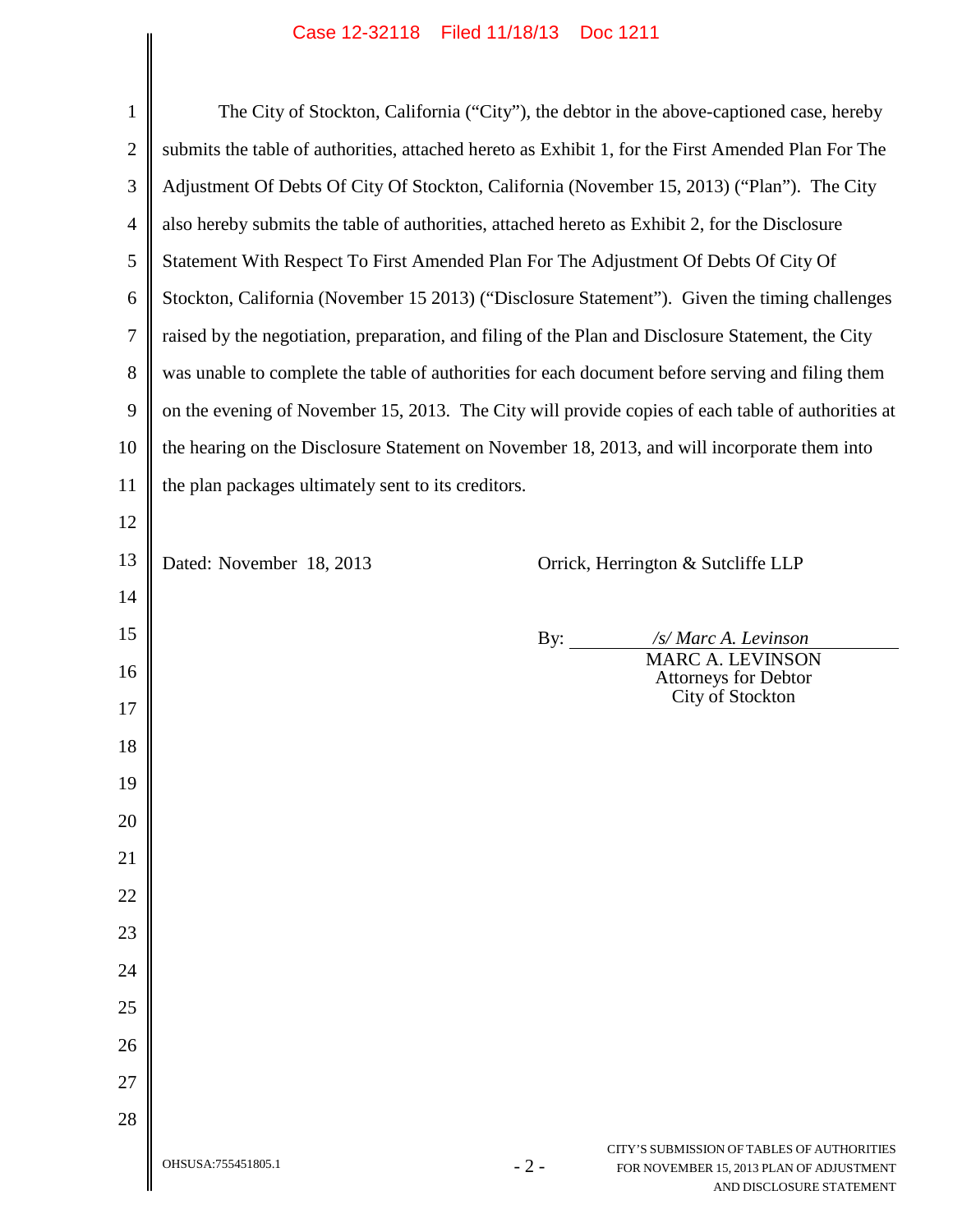## Case 12-32118 Filed 11/18/13 Doc 1211

| $\mathbf{1}$   |                                                                                                    |       | The City of Stockton, California ("City"), the debtor in the above-captioned case, hereby                          |  |
|----------------|----------------------------------------------------------------------------------------------------|-------|--------------------------------------------------------------------------------------------------------------------|--|
| $\overline{c}$ | submits the table of authorities, attached hereto as Exhibit 1, for the First Amended Plan For The |       |                                                                                                                    |  |
| 3              | Adjustment Of Debts Of City Of Stockton, California (November 15, 2013) ("Plan"). The City         |       |                                                                                                                    |  |
| $\overline{4}$ | also hereby submits the table of authorities, attached hereto as Exhibit 2, for the Disclosure     |       |                                                                                                                    |  |
| 5              | Statement With Respect To First Amended Plan For The Adjustment Of Debts Of City Of                |       |                                                                                                                    |  |
| 6              | Stockton, California (November 15 2013) ("Disclosure Statement"). Given the timing challenges      |       |                                                                                                                    |  |
| 7              | raised by the negotiation, preparation, and filing of the Plan and Disclosure Statement, the City  |       |                                                                                                                    |  |
| 8              | was unable to complete the table of authorities for each document before serving and filing them   |       |                                                                                                                    |  |
| 9              | on the evening of November 15, 2013. The City will provide copies of each table of authorities at  |       |                                                                                                                    |  |
| 10             | the hearing on the Disclosure Statement on November 18, 2013, and will incorporate them into       |       |                                                                                                                    |  |
| 11             | the plan packages ultimately sent to its creditors.                                                |       |                                                                                                                    |  |
| 12             |                                                                                                    |       |                                                                                                                    |  |
| 13             | Dated: November 18, 2013                                                                           |       | Orrick, Herrington & Sutcliffe LLP                                                                                 |  |
| 14             |                                                                                                    |       |                                                                                                                    |  |
| 15             |                                                                                                    | By:   | /s/ Marc A. Levinson                                                                                               |  |
| 16             |                                                                                                    |       | <b>MARC A. LEVINSON</b><br><b>Attorneys for Debtor</b>                                                             |  |
| 17             |                                                                                                    |       | City of Stockton                                                                                                   |  |
| 18             |                                                                                                    |       |                                                                                                                    |  |
| 19             |                                                                                                    |       |                                                                                                                    |  |
| 20             |                                                                                                    |       |                                                                                                                    |  |
| 21             |                                                                                                    |       |                                                                                                                    |  |
| 22             |                                                                                                    |       |                                                                                                                    |  |
| 23             |                                                                                                    |       |                                                                                                                    |  |
| 24             |                                                                                                    |       |                                                                                                                    |  |
| 25             |                                                                                                    |       |                                                                                                                    |  |
| 26             |                                                                                                    |       |                                                                                                                    |  |
| 27             |                                                                                                    |       |                                                                                                                    |  |
| 28             |                                                                                                    |       |                                                                                                                    |  |
|                | OHSUSA:755451805.1                                                                                 | $-2-$ | CITY'S SUBMISSION OF TABLES OF AUTHORITIES<br>FOR NOVEMBER 15, 2013 PLAN OF ADJUSTMENT<br>AND DISCLOSURE STATEMENT |  |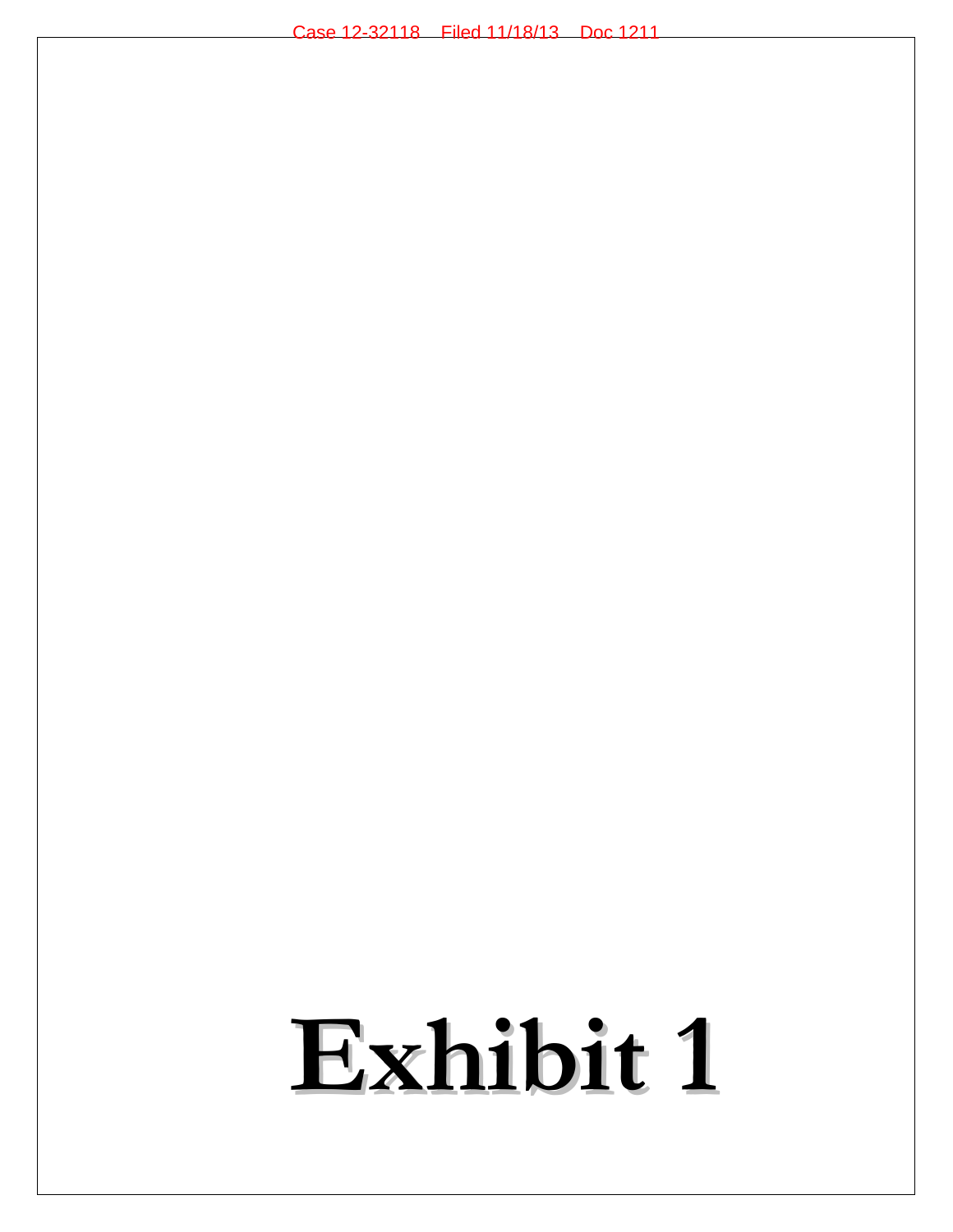## **Exhibit 1**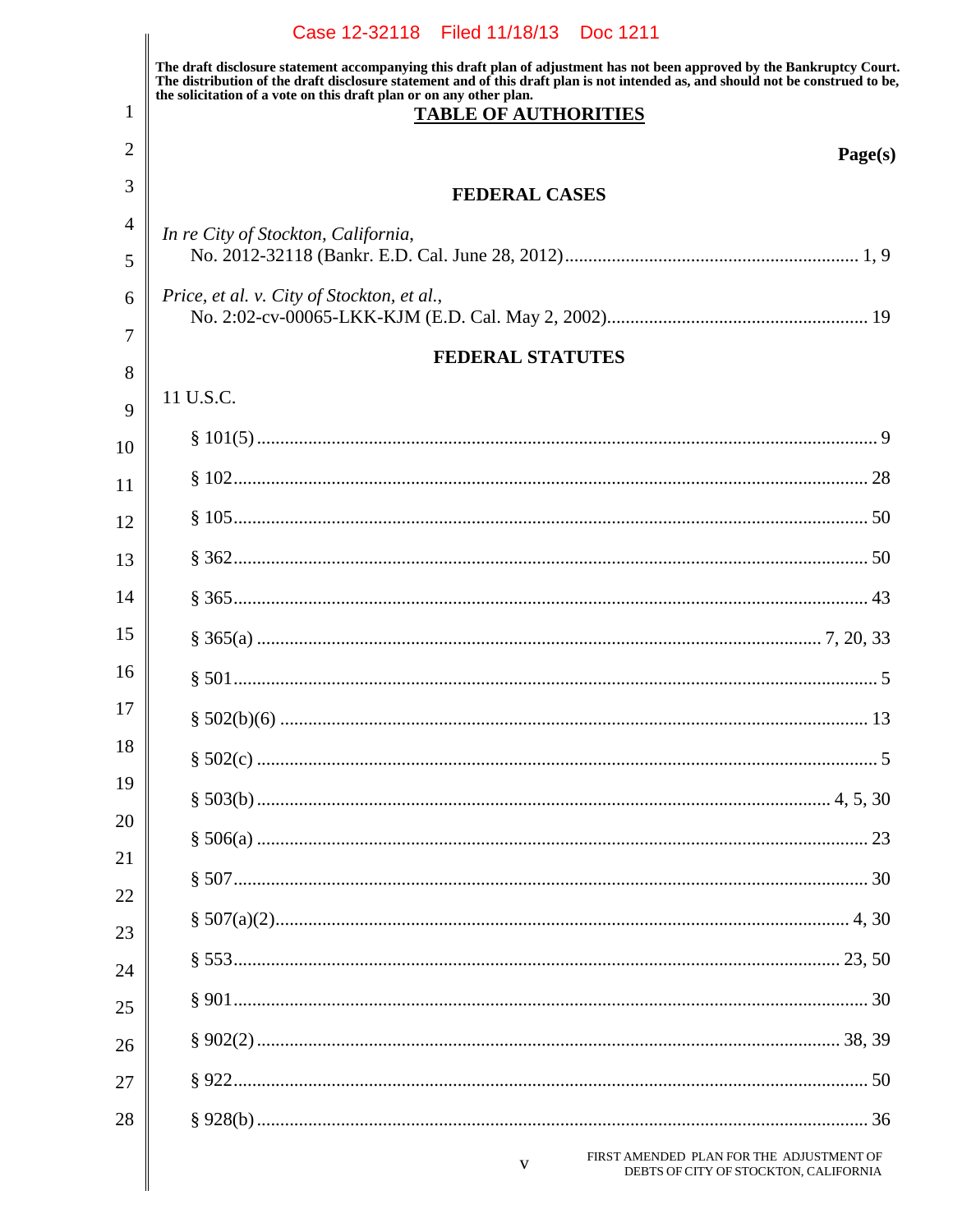|                | Case 12-32118 Filed 11/18/13 Doc 1211                                                                                                                                                                                                                                                                                                                              |
|----------------|--------------------------------------------------------------------------------------------------------------------------------------------------------------------------------------------------------------------------------------------------------------------------------------------------------------------------------------------------------------------|
| 1              | The draft disclosure statement accompanying this draft plan of adjustment has not been approved by the Bankruptcy Court.<br>The distribution of the draft disclosure statement and of this draft plan is not intended as, and should not be construed to be,<br>the solicitation of a vote on this draft plan or on any other plan.<br><b>TABLE OF AUTHORITIES</b> |
| 2              | Page(s)                                                                                                                                                                                                                                                                                                                                                            |
| 3              | <b>FEDERAL CASES</b>                                                                                                                                                                                                                                                                                                                                               |
| $\overline{4}$ | In re City of Stockton, California,                                                                                                                                                                                                                                                                                                                                |
| 5              |                                                                                                                                                                                                                                                                                                                                                                    |
| 6<br>7         | Price, et al. v. City of Stockton, et al.,                                                                                                                                                                                                                                                                                                                         |
| 8              | <b>FEDERAL STATUTES</b>                                                                                                                                                                                                                                                                                                                                            |
| 9              | 11 U.S.C.                                                                                                                                                                                                                                                                                                                                                          |
| 10             |                                                                                                                                                                                                                                                                                                                                                                    |
| 11             |                                                                                                                                                                                                                                                                                                                                                                    |
| 12             |                                                                                                                                                                                                                                                                                                                                                                    |
| 13             |                                                                                                                                                                                                                                                                                                                                                                    |
| 14             |                                                                                                                                                                                                                                                                                                                                                                    |
| 15             |                                                                                                                                                                                                                                                                                                                                                                    |
| 16             |                                                                                                                                                                                                                                                                                                                                                                    |
| 17             |                                                                                                                                                                                                                                                                                                                                                                    |
| 18             |                                                                                                                                                                                                                                                                                                                                                                    |
| 19             |                                                                                                                                                                                                                                                                                                                                                                    |
| 20             |                                                                                                                                                                                                                                                                                                                                                                    |
| 21             |                                                                                                                                                                                                                                                                                                                                                                    |
| 22             |                                                                                                                                                                                                                                                                                                                                                                    |
| 23<br>24       |                                                                                                                                                                                                                                                                                                                                                                    |
| 25             |                                                                                                                                                                                                                                                                                                                                                                    |
| 26             |                                                                                                                                                                                                                                                                                                                                                                    |
| 27             |                                                                                                                                                                                                                                                                                                                                                                    |
| 28             |                                                                                                                                                                                                                                                                                                                                                                    |
|                | FIRST AMENDED PLAN FOR THE ADJUSTMENT OF<br>V<br>DEBTS OF CITY OF STOCKTON, CALIFORNIA                                                                                                                                                                                                                                                                             |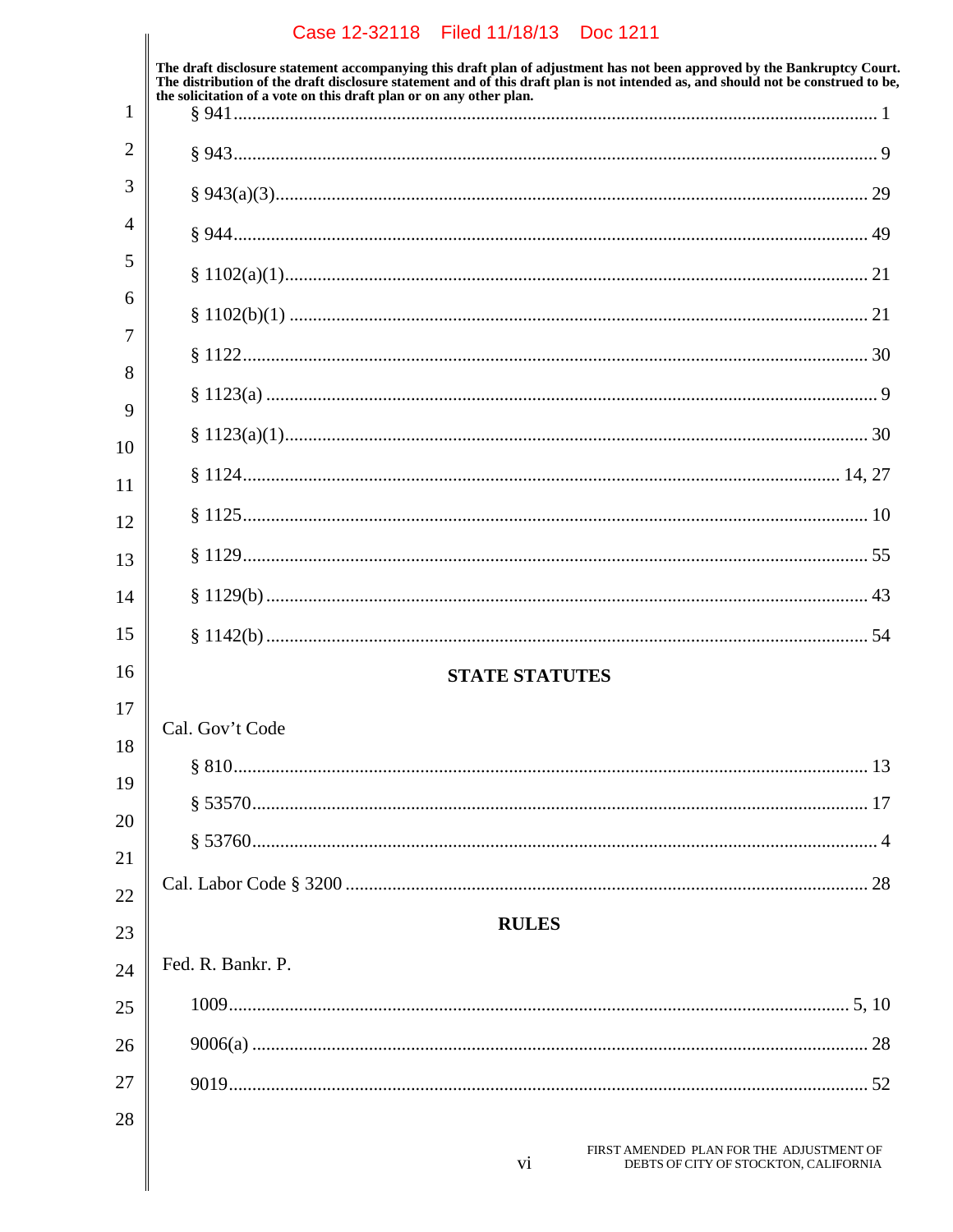## Case 12-32118 Filed 11/18/13 Doc 1211 The draft disclosure statement accompanying this draft plan of adjustment has not been approved by the Bankruptcy Court.<br>The distribution of the draft disclosure statement and of this draft plan is not intended as, and sho the solicitation of a vote on this draft plan or on any other plan.  $\mathbf{1}$  $\overline{2}$  $\overline{4}$  $\overline{7}$ **STATE STATUTES** Cal. Gov't Code **RULES** Fed. R. Bankr. P. FIRST AMENDED PLAN FOR THE ADJUSTMENT OF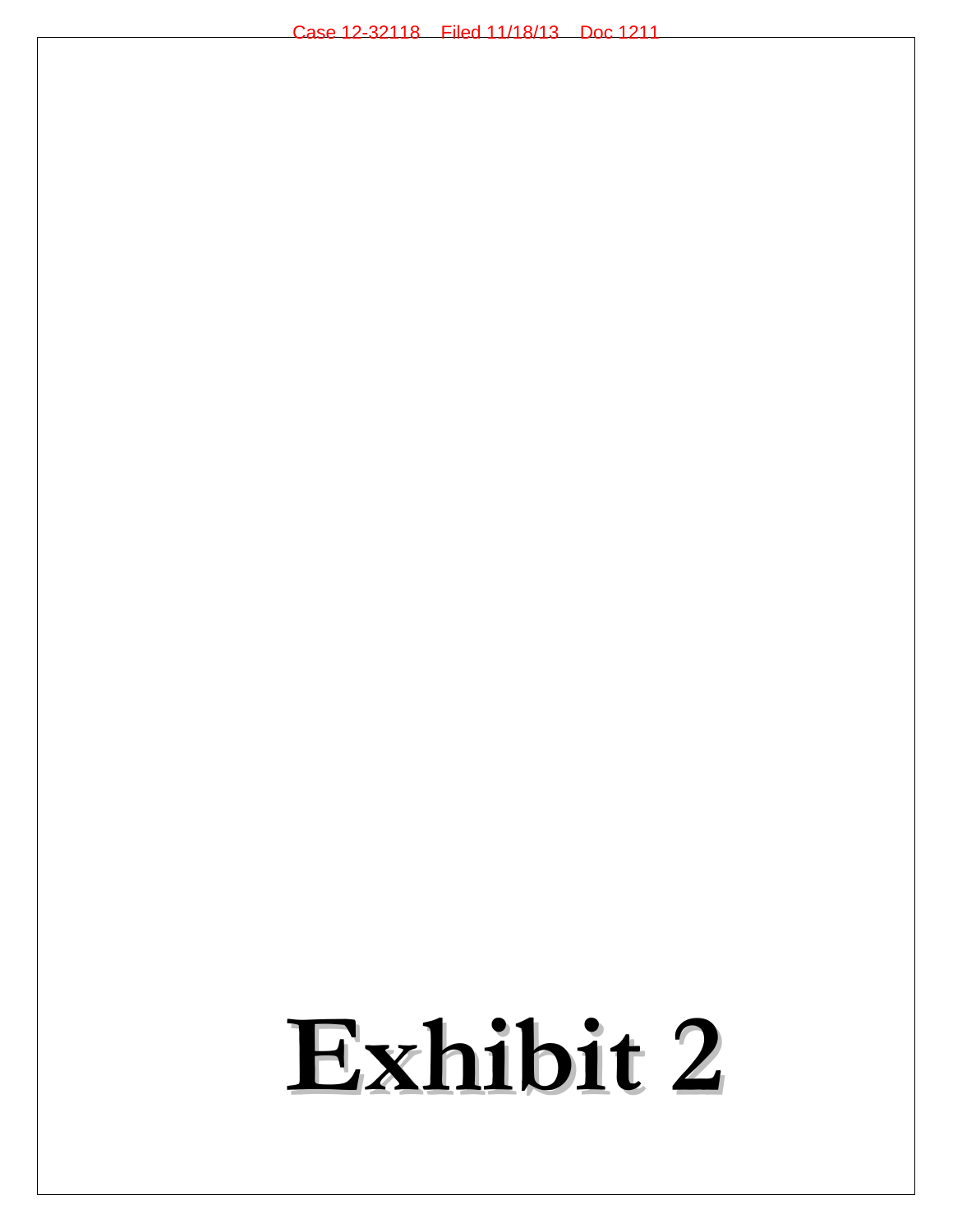## **Exhibit 2**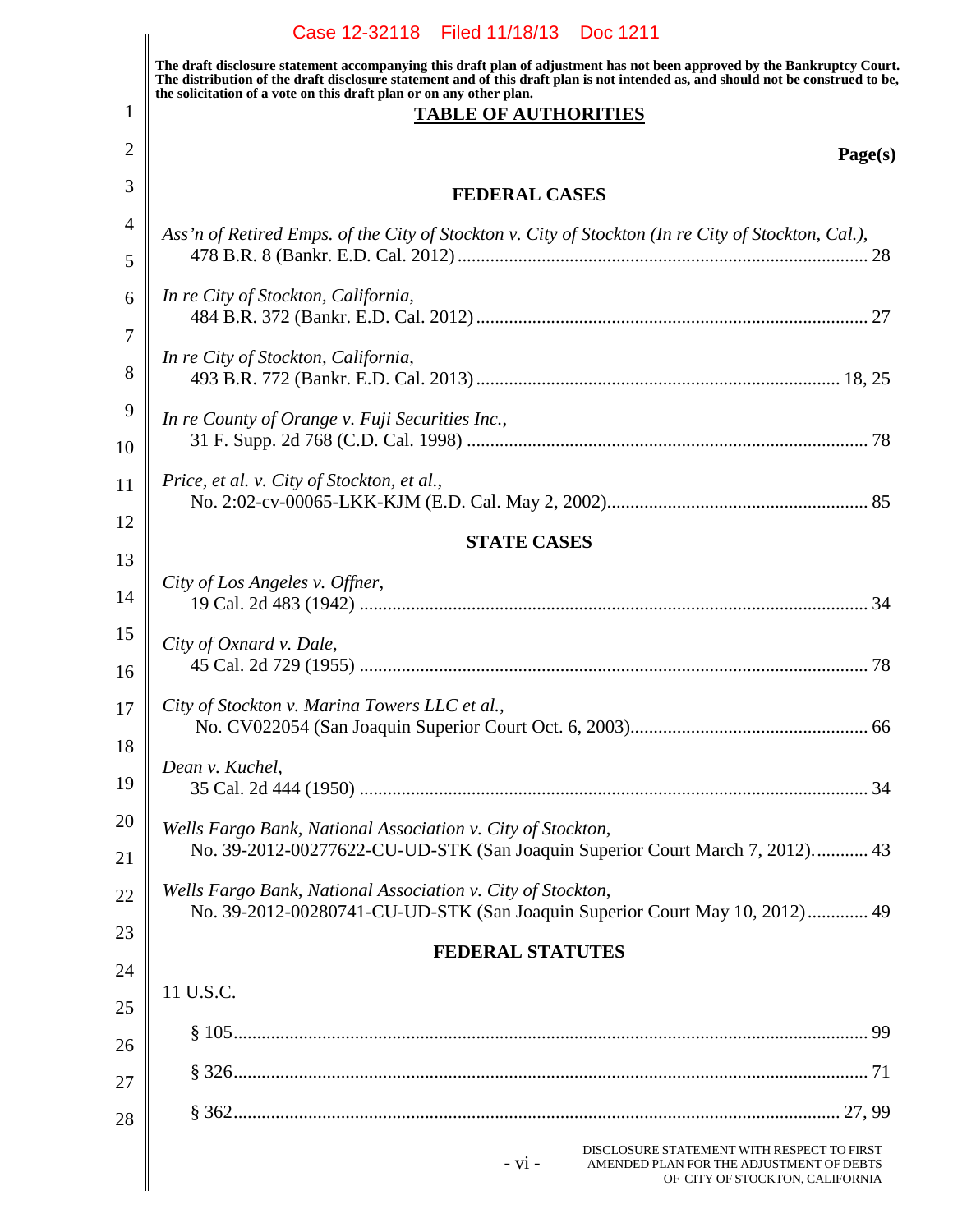|                | Case 12-32118 Filed 11/18/13 Doc 1211                                                                                                                                                                                                                                                                                               |  |  |
|----------------|-------------------------------------------------------------------------------------------------------------------------------------------------------------------------------------------------------------------------------------------------------------------------------------------------------------------------------------|--|--|
|                | The draft disclosure statement accompanying this draft plan of adjustment has not been approved by the Bankruptcy Court.<br>The distribution of the draft disclosure statement and of this draft plan is not intended as, and should not be construed to be,<br>the solicitation of a vote on this draft plan or on any other plan. |  |  |
| 1              | <b>TABLE OF AUTHORITIES</b>                                                                                                                                                                                                                                                                                                         |  |  |
| 2              | Page(s)                                                                                                                                                                                                                                                                                                                             |  |  |
| 3              | <b>FEDERAL CASES</b>                                                                                                                                                                                                                                                                                                                |  |  |
| $\overline{4}$ | Ass'n of Retired Emps. of the City of Stockton v. City of Stockton (In re City of Stockton, Cal.),                                                                                                                                                                                                                                  |  |  |
| 5              |                                                                                                                                                                                                                                                                                                                                     |  |  |
| 6              | In re City of Stockton, California,                                                                                                                                                                                                                                                                                                 |  |  |
| 7              |                                                                                                                                                                                                                                                                                                                                     |  |  |
| 8              | In re City of Stockton, California,                                                                                                                                                                                                                                                                                                 |  |  |
| 9              | In re County of Orange v. Fuji Securities Inc.,                                                                                                                                                                                                                                                                                     |  |  |
| 10             |                                                                                                                                                                                                                                                                                                                                     |  |  |
| 11             | Price, et al. v. City of Stockton, et al.,                                                                                                                                                                                                                                                                                          |  |  |
| 12             | <b>STATE CASES</b>                                                                                                                                                                                                                                                                                                                  |  |  |
| 13             |                                                                                                                                                                                                                                                                                                                                     |  |  |
| 14             | City of Los Angeles v. Offner,                                                                                                                                                                                                                                                                                                      |  |  |
| 15             | City of Oxnard v. Dale,                                                                                                                                                                                                                                                                                                             |  |  |
| 16             |                                                                                                                                                                                                                                                                                                                                     |  |  |
| 17             | City of Stockton v. Marina Towers LLC et al.,                                                                                                                                                                                                                                                                                       |  |  |
| 18             |                                                                                                                                                                                                                                                                                                                                     |  |  |
| 19             | Dean v. Kuchel,                                                                                                                                                                                                                                                                                                                     |  |  |
| 20             | Wells Fargo Bank, National Association v. City of Stockton,                                                                                                                                                                                                                                                                         |  |  |
| 21             | No. 39-2012-00277622-CU-UD-STK (San Joaquin Superior Court March 7, 2012) 43                                                                                                                                                                                                                                                        |  |  |
| 22             | Wells Fargo Bank, National Association v. City of Stockton,<br>No. 39-2012-00280741-CU-UD-STK (San Joaquin Superior Court May 10, 2012) 49                                                                                                                                                                                          |  |  |
| 23             | <b>FEDERAL STATUTES</b>                                                                                                                                                                                                                                                                                                             |  |  |
| 24             |                                                                                                                                                                                                                                                                                                                                     |  |  |
| 25             | 11 U.S.C.                                                                                                                                                                                                                                                                                                                           |  |  |
| 26             |                                                                                                                                                                                                                                                                                                                                     |  |  |
| 27             |                                                                                                                                                                                                                                                                                                                                     |  |  |
| 28             |                                                                                                                                                                                                                                                                                                                                     |  |  |
|                | DISCLOSURE STATEMENT WITH RESPECT TO FIRST<br>$- vi -$<br>AMENDED PLAN FOR THE ADJUSTMENT OF DEBTS<br>OF CITY OF STOCKTON, CALIFORNIA                                                                                                                                                                                               |  |  |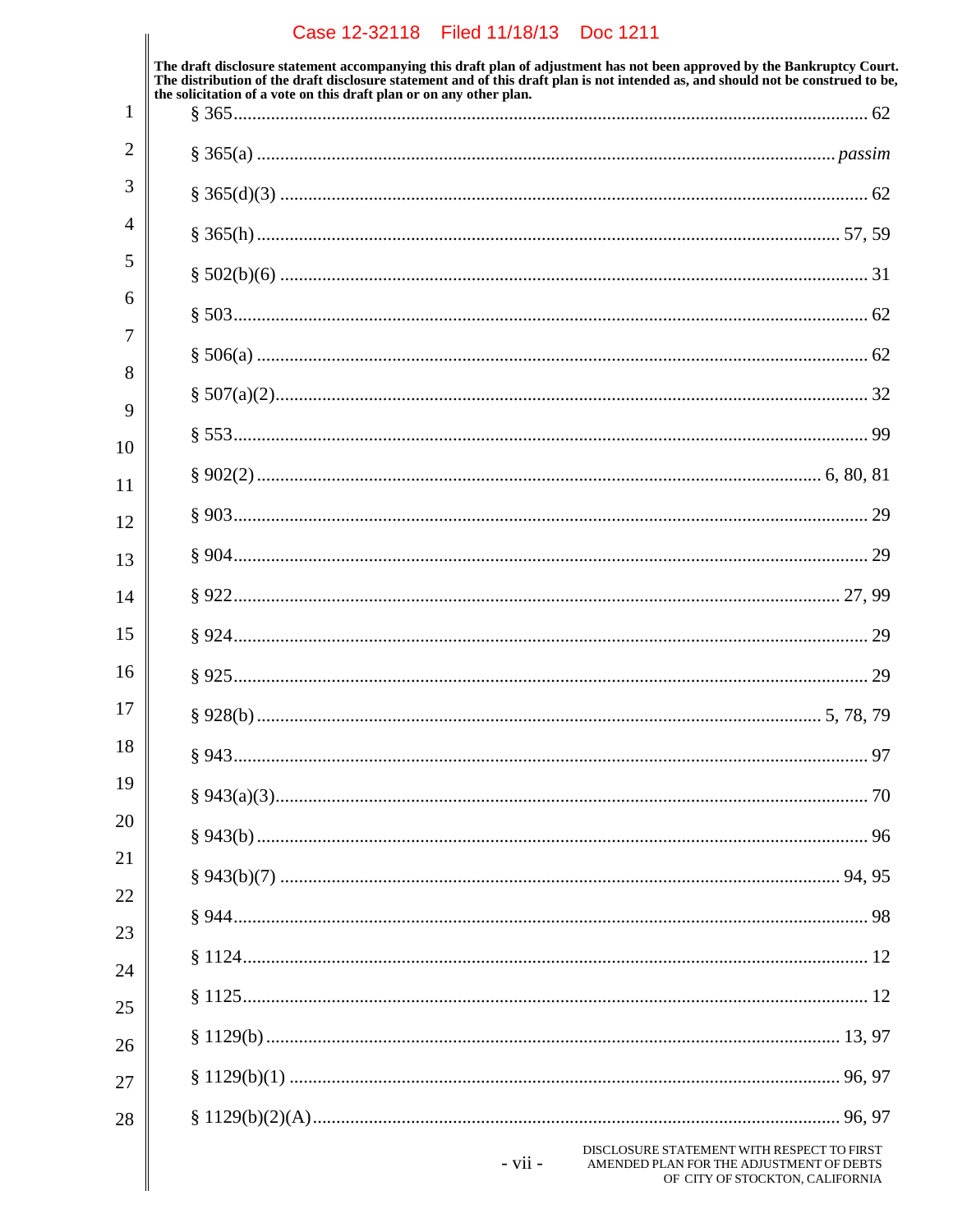|          | Case 12-32118 Filed 11/18/13 Doc 1211                                                                                                                                                                                                                        |
|----------|--------------------------------------------------------------------------------------------------------------------------------------------------------------------------------------------------------------------------------------------------------------|
|          | The draft disclosure statement accompanying this draft plan of adjustment has not been approved by the Bankruptcy Court.<br>The distribution of the draft disclosure statement and of this draft plan is not intended as, and should not be construed to be, |
| 1        | the solicitation of a vote on this draft plan or on any other plan.                                                                                                                                                                                          |
| 2        |                                                                                                                                                                                                                                                              |
| 3        |                                                                                                                                                                                                                                                              |
| 4        |                                                                                                                                                                                                                                                              |
| 5        |                                                                                                                                                                                                                                                              |
| 6        |                                                                                                                                                                                                                                                              |
| 7        |                                                                                                                                                                                                                                                              |
| 8        |                                                                                                                                                                                                                                                              |
| 9        |                                                                                                                                                                                                                                                              |
| 10<br>11 |                                                                                                                                                                                                                                                              |
| 12       |                                                                                                                                                                                                                                                              |
| 13       |                                                                                                                                                                                                                                                              |
| 14       |                                                                                                                                                                                                                                                              |
| 15       |                                                                                                                                                                                                                                                              |
| 16       |                                                                                                                                                                                                                                                              |
| 17       |                                                                                                                                                                                                                                                              |
| 18       |                                                                                                                                                                                                                                                              |
| 19       |                                                                                                                                                                                                                                                              |
| 20       |                                                                                                                                                                                                                                                              |
| 21       |                                                                                                                                                                                                                                                              |
| 22       |                                                                                                                                                                                                                                                              |
| 23       |                                                                                                                                                                                                                                                              |
| 24       |                                                                                                                                                                                                                                                              |
| 25<br>26 |                                                                                                                                                                                                                                                              |
| 27       |                                                                                                                                                                                                                                                              |
| 28       |                                                                                                                                                                                                                                                              |
|          | DISCLOSURE STATEMENT WITH RESPECT TO FIRST<br>$- vii -$<br>AMENDED PLAN FOR THE ADJUSTMENT OF DEBTS<br>OF CITY OF STOCKTON, CALIFORNIA                                                                                                                       |